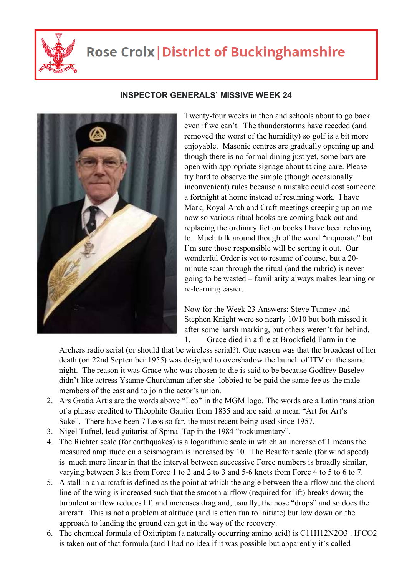

## **Rose Croix | District of Buckinghamshire**



## **INSPECTOR GENERALS' MISSIVE WEEK 24**

Twenty-four weeks in then and schools about to go back even if we can't. The thunderstorms have receded (and removed the worst of the humidity) so golf is a bit more enjoyable. Masonic centres are gradually opening up and though there is no formal dining just yet, some bars are open with appropriate signage about taking care. Please try hard to observe the simple (though occasionally inconvenient) rules because a mistake could cost someone a fortnight at home instead of resuming work. I have Mark, Royal Arch and Craft meetings creeping up on me now so various ritual books are coming back out and replacing the ordinary fiction books I have been relaxing to. Much talk around though of the word "inquorate" but I'm sure those responsible will be sorting it out. Our wonderful Order is yet to resume of course, but a 20 minute scan through the ritual (and the rubric) is never going to be wasted – familiarity always makes learning or re-learning easier.

Now for the Week 23 Answers: Steve Tunney and Stephen Knight were so nearly 10/10 but both missed it after some harsh marking, but others weren't far behind. 1. Grace died in a fire at Brookfield Farm in the

Archers radio serial (or should that be wireless serial?). One reason was that the broadcast of her death (on 22nd September 1955) was designed to overshadow the launch of ITV on the same night. The reason it was Grace who was chosen to die is said to be because Godfrey Baseley didn't like actress Ysanne Churchman after she lobbied to be paid the same fee as the male members of the cast and to join the actor's union.

- 2. Ars Gratia Artis are the words above "Leo" in the MGM logo. The words are a Latin translation of a phrase credited to Théophile Gautier from 1835 and are said to mean "Art for Art's Sake". There have been 7 Leos so far, the most recent being used since 1957.
- 3. Nigel Tufnel, lead guitarist of Spinal Tap in the 1984 "rockumentary".
- 4. The Richter scale (for earthquakes) is a logarithmic scale in which an increase of 1 means the measured amplitude on a seismogram is increased by 10. The Beaufort scale (for wind speed) is much more linear in that the interval between successive Force numbers is broadly similar, varying between 3 kts from Force 1 to 2 and 2 to 3 and 5-6 knots from Force 4 to 5 to 6 to 7.
- 5. A stall in an aircraft is defined as the point at which the angle between the airflow and the chord line of the wing is increased such that the smooth airflow (required for lift) breaks down; the turbulent airflow reduces lift and increases drag and, usually, the nose "drops" and so does the aircraft. This is not a problem at altitude (and is often fun to initiate) but low down on the approach to landing the ground can get in the way of the recovery.
- 6. The chemical formula of Oxitriptan (a naturally occurring amino acid) is C11H12N2O3 . If CO2 is taken out of that formula (and I had no idea if it was possible but apparently it's called